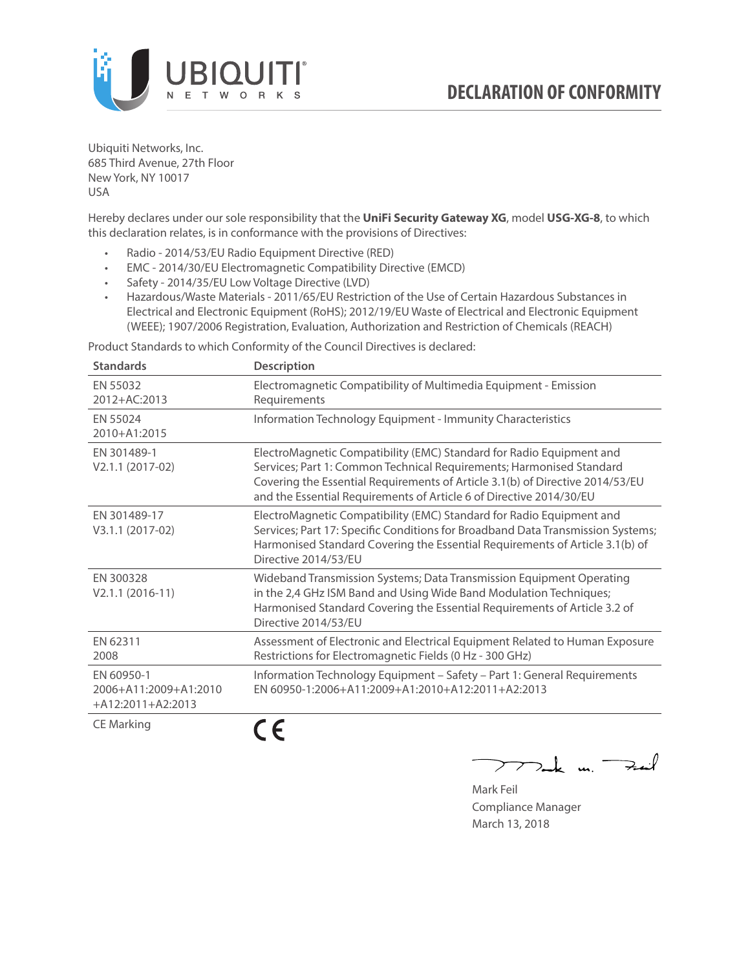

Ubiquiti Networks, Inc. 685 Third Avenue, 27th Floor New York, NY 10017 USA

Hereby declares under our sole responsibility that the **UniFi Security Gateway XG**, model **USG-XG-8**, to which this declaration relates, is in conformance with the provisions of Directives:

- Radio 2014/53/EU Radio Equipment Directive (RED)
- EMC 2014/30/EU Electromagnetic Compatibility Directive (EMCD)
- Safety 2014/35/EU Low Voltage Directive (LVD)
- Hazardous/Waste Materials 2011/65/EU Restriction of the Use of Certain Hazardous Substances in Electrical and Electronic Equipment (RoHS); 2012/19/EU Waste of Electrical and Electronic Equipment (WEEE); 1907/2006 Registration, Evaluation, Authorization and Restriction of Chemicals (REACH)

Product Standards to which Conformity of the Council Directives is declared:

| <b>Standards</b>                                           | <b>Description</b>                                                                                                                                                                                                                                                                                   |
|------------------------------------------------------------|------------------------------------------------------------------------------------------------------------------------------------------------------------------------------------------------------------------------------------------------------------------------------------------------------|
| EN 55032<br>2012+AC:2013                                   | Electromagnetic Compatibility of Multimedia Equipment - Emission<br>Requirements                                                                                                                                                                                                                     |
| EN 55024<br>2010+A1:2015                                   | Information Technology Equipment - Immunity Characteristics                                                                                                                                                                                                                                          |
| EN 301489-1<br>V2.1.1 (2017-02)                            | ElectroMagnetic Compatibility (EMC) Standard for Radio Equipment and<br>Services; Part 1: Common Technical Requirements; Harmonised Standard<br>Covering the Essential Requirements of Article 3.1(b) of Directive 2014/53/EU<br>and the Essential Requirements of Article 6 of Directive 2014/30/EU |
| EN 301489-17<br>V3.1.1 (2017-02)                           | ElectroMagnetic Compatibility (EMC) Standard for Radio Equipment and<br>Services; Part 17: Specific Conditions for Broadband Data Transmission Systems;<br>Harmonised Standard Covering the Essential Requirements of Article 3.1(b) of<br>Directive 2014/53/EU                                      |
| EN 300328<br>$V2.1.1 (2016-11)$                            | Wideband Transmission Systems; Data Transmission Equipment Operating<br>in the 2,4 GHz ISM Band and Using Wide Band Modulation Techniques;<br>Harmonised Standard Covering the Essential Requirements of Article 3.2 of<br>Directive 2014/53/EU                                                      |
| EN 62311<br>2008                                           | Assessment of Electronic and Electrical Equipment Related to Human Exposure<br>Restrictions for Electromagnetic Fields (0 Hz - 300 GHz)                                                                                                                                                              |
| EN 60950-1<br>2006+A11:2009+A1:2010<br>$+A12:2011+A2:2013$ | Information Technology Equipment - Safety - Part 1: General Requirements<br>EN 60950-1:2006+A11:2009+A1:2010+A12:2011+A2:2013                                                                                                                                                                        |
| <b>CE Marking</b>                                          |                                                                                                                                                                                                                                                                                                      |

フノ

Mak m. Fail

Mark Feil Compliance Manager March 13, 2018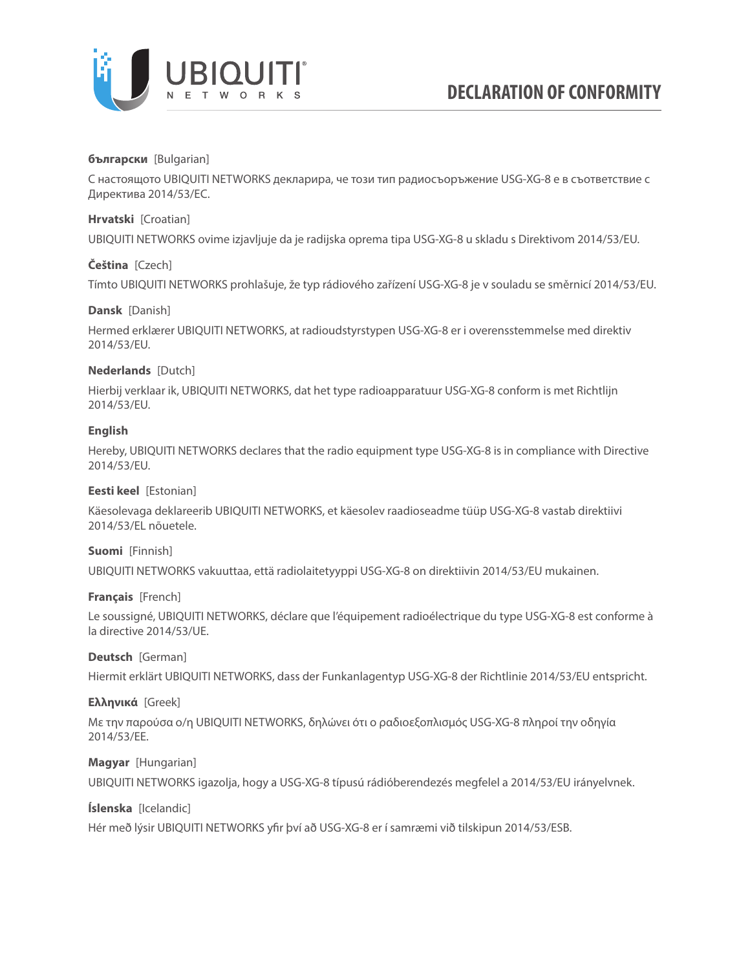

## **български** [Bulgarian]

С настоящото UBIQUITI NETWORKS декларира, че този тип радиосъоръжение USG-XG-8 е в съответствие с Директива 2014/53/ЕС.

## **Hrvatski** [Croatian]

UBIQUITI NETWORKS ovime izjavljuje da je radijska oprema tipa USG-XG-8 u skladu s Direktivom 2014/53/EU.

# **Čeština** [Czech]

Tímto UBIQUITI NETWORKS prohlašuje, že typ rádiového zařízení USG-XG-8 je v souladu se směrnicí 2014/53/EU.

## **Dansk** [Danish]

Hermed erklærer UBIQUITI NETWORKS, at radioudstyrstypen USG-XG-8 er i overensstemmelse med direktiv 2014/53/EU.

# **Nederlands** [Dutch]

Hierbij verklaar ik, UBIQUITI NETWORKS, dat het type radioapparatuur USG-XG-8 conform is met Richtlijn 2014/53/EU.

# **English**

Hereby, UBIQUITI NETWORKS declares that the radio equipment type USG-XG-8 is in compliance with Directive 2014/53/EU.

## **Eesti keel** [Estonian]

Käesolevaga deklareerib UBIQUITI NETWORKS, et käesolev raadioseadme tüüp USG-XG-8 vastab direktiivi 2014/53/EL nõuetele.

## **Suomi** [Finnish]

UBIQUITI NETWORKS vakuuttaa, että radiolaitetyyppi USG-XG-8 on direktiivin 2014/53/EU mukainen.

## **Français** [French]

Le soussigné, UBIQUITI NETWORKS, déclare que l'équipement radioélectrique du type USG-XG-8 est conforme à la directive 2014/53/UE.

## **Deutsch** [German]

Hiermit erklärt UBIQUITI NETWORKS, dass der Funkanlagentyp USG-XG-8 der Richtlinie 2014/53/EU entspricht.

## **Ελληνικά** [Greek]

Με την παρούσα ο/η UBIQUITI NETWORKS, δηλώνει ότι ο ραδιοεξοπλισμός USG-XG-8 πληροί την οδηγία 2014/53/ΕΕ.

## **Magyar** [Hungarian]

UBIQUITI NETWORKS igazolja, hogy a USG-XG-8 típusú rádióberendezés megfelel a 2014/53/EU irányelvnek.

# **Íslenska** [Icelandic]

Hér með lýsir UBIQUITI NETWORKS yfir því að USG-XG-8 er í samræmi við tilskipun 2014/53/ESB.